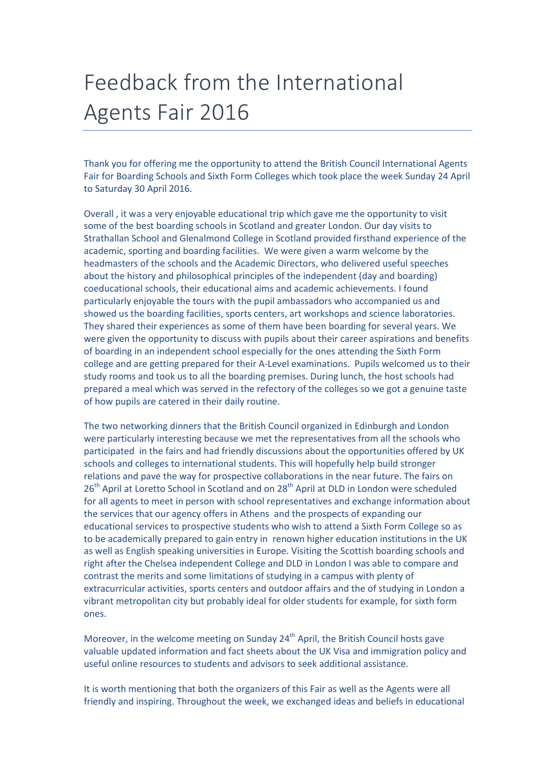## Feedback from the International Agents Fair 2016

Thank you for offering me the opportunity to attend the British Council International Agents Fair for Boarding Schools and Sixth Form Colleges which took place the week Sunday 24 April to Saturday 30 April 2016.

Overall , it was a very enjoyable educational trip which gave me the opportunity to visit some of the best boarding schools in Scotland and greater London. Our day visits to Strathallan School and Glenalmond College in Scotland provided firsthand experience of the academic, sporting and boarding facilities. We were given a warm welcome by the headmasters of the schools and the Academic Directors, who delivered useful speeches about the history and philosophical principles of the independent (day and boarding) coeducational schools, their educational aims and academic achievements. I found particularly enjoyable the tours with the pupil ambassadors who accompanied us and showed us the boarding facilities, sports centers, art workshops and science laboratories. They shared their experiences as some of them have been boarding for several years. We were given the opportunity to discuss with pupils about their career aspirations and benefits of boarding in an independent school especially for the ones attending the Sixth Form college and are getting prepared for their A-Level examinations. Pupils welcomed us to their study rooms and took us to all the boarding premises. During lunch, the host schools had prepared a meal which was served in the refectory of the colleges so we got a genuine taste of how pupils are catered in their daily routine.

The two networking dinners that the British Council organized in Edinburgh and London were particularly interesting because we met the representatives from all the schools who participated in the fairs and had friendly discussions about the opportunities offered by UK schools and colleges to international students. This will hopefully help build stronger relations and pave the way for prospective collaborations in the near future. The fairs on 26<sup>th</sup> April at Loretto School in Scotland and on 28<sup>th</sup> April at DLD in London were scheduled for all agents to meet in person with school representatives and exchange information about the services that our agency offers in Athens and the prospects of expanding our educational services to prospective students who wish to attend a Sixth Form College so as to be academically prepared to gain entry in renown higher education institutions in the UK as well as English speaking universities in Europe. Visiting the Scottish boarding schools and right after the Chelsea independent College and DLD in London I was able to compare and contrast the merits and some limitations of studying in a campus with plenty of extracurricular activities, sports centers and outdoor affairs and the of studying in London a vibrant metropolitan city but probably ideal for older students for example, for sixth form ones.

Moreover, in the welcome meeting on Sunday  $24<sup>th</sup>$  April, the British Council hosts gave valuable updated information and fact sheets about the UK Visa and immigration policy and useful online resources to students and advisors to seek additional assistance.

It is worth mentioning that both the organizers of this Fair as well as the Agents were all friendly and inspiring. Throughout the week, we exchanged ideas and beliefs in educational